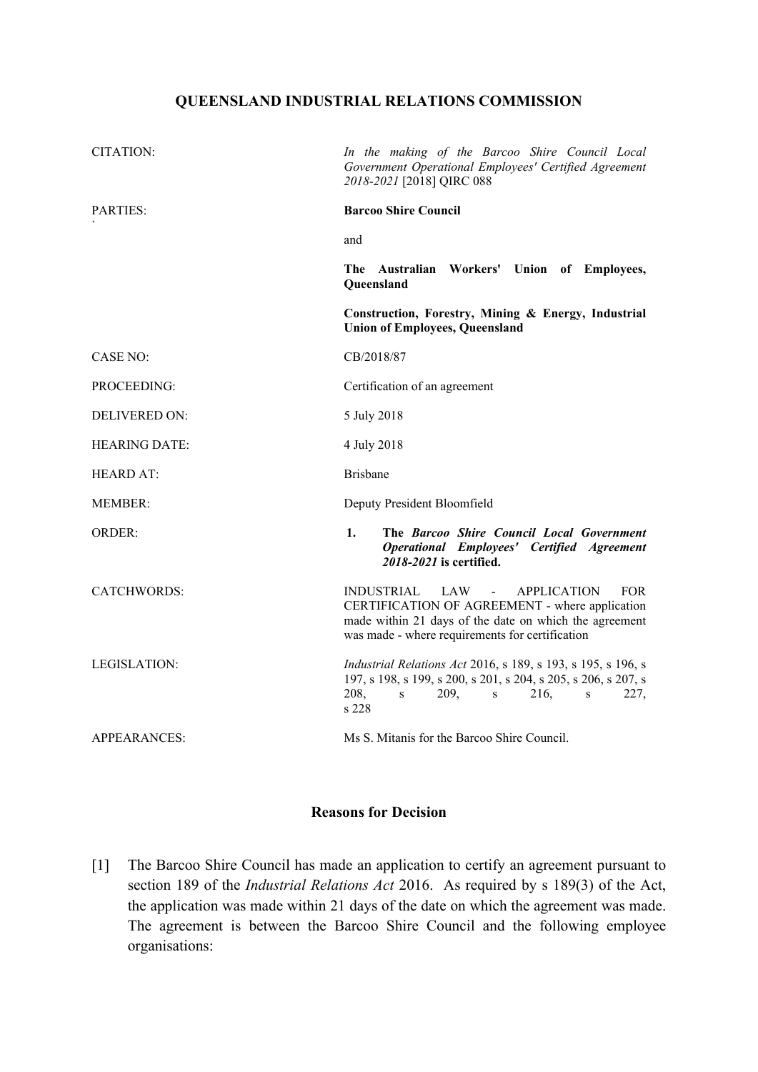## **QUEENSLAND INDUSTRIAL RELATIONS COMMISSION**

| CITATION:            | In the making of the Barcoo Shire Council Local<br>Government Operational Employees' Certified Agreement<br>2018-2021 [2018] QIRC 088                                                                                                     |
|----------------------|-------------------------------------------------------------------------------------------------------------------------------------------------------------------------------------------------------------------------------------------|
| <b>PARTIES:</b>      | <b>Barcoo Shire Council</b>                                                                                                                                                                                                               |
|                      | and                                                                                                                                                                                                                                       |
|                      | The Australian Workers' Union of Employees,<br>Queensland                                                                                                                                                                                 |
|                      | Construction, Forestry, Mining & Energy, Industrial<br><b>Union of Employees, Queensland</b>                                                                                                                                              |
| <b>CASE NO:</b>      | CB/2018/87                                                                                                                                                                                                                                |
| PROCEEDING:          | Certification of an agreement                                                                                                                                                                                                             |
| DELIVERED ON:        | 5 July 2018                                                                                                                                                                                                                               |
| <b>HEARING DATE:</b> | 4 July 2018                                                                                                                                                                                                                               |
| <b>HEARD AT:</b>     | <b>Brisbane</b>                                                                                                                                                                                                                           |
| <b>MEMBER:</b>       | Deputy President Bloomfield                                                                                                                                                                                                               |
| <b>ORDER:</b>        | The Barcoo Shire Council Local Government<br>1.<br><b>Operational Employees' Certified Agreement</b><br>2018-2021 is certified.                                                                                                           |
| <b>CATCHWORDS:</b>   | <b>INDUSTRIAL</b><br><b>APPLICATION</b><br>LAW<br>$\sim 100$<br><b>FOR</b><br>CERTIFICATION OF AGREEMENT - where application<br>made within 21 days of the date on which the agreement<br>was made - where requirements for certification |
| LEGISLATION:         | <i>Industrial Relations Act</i> 2016, s 189, s 193, s 195, s 196, s<br>197, s 198, s 199, s 200, s 201, s 204, s 205, s 206, s 207, s<br>208,<br>209,<br>S<br>216.<br>227,<br>$\,$ S<br>S<br>s 228                                        |
| APPEARANCES:         | Ms S. Mitanis for the Barcoo Shire Council.                                                                                                                                                                                               |

## **Reasons for Decision**

[1] The Barcoo Shire Council has made an application to certify an agreement pursuant to section 189 of the *Industrial Relations Act* 2016. As required by s 189(3) of the Act, the application was made within 21 days of the date on which the agreement was made. The agreement is between the Barcoo Shire Council and the following employee organisations: